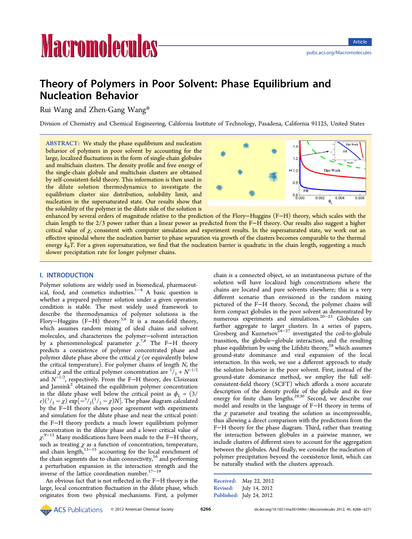# **Macromolecules**

# Theory of Polymers in Poor Solvent: Phase Equilibrium and Nucleation Behavior

Rui Wang and Zhen-Gang Wang\*

Division of Chemistry and Chemical Eng[ine](#page-5-0)ering, California Institute of Technology, Pasadena, California 91125, United States

ABSTRACT: We study the phase equilibrium and nucleation behavior of polymers in poor solvent by accounting for the large, localized fluctuations in the form of single-chain globules and multichain clusters. The density profile and free energy of the single-chain globule and multichain clusters are obtained by self-consistent-field theory. This information is then used in the dilute solution thermodynamics to investigate the equilibrium cluster size distribution, solubility limit, and nucleation in the supersaturated state. Our results show that the solubility of the polymer in the dilute side of the solution is



enhanced by several orders of magnitude relative to the prediction of the Flory−Huggins (F−H) theory, which scales with the chain length to the 2/3 power rather than a linear power as predicted from the F−H theory. Our results also suggest a higher critical value of  $\chi$ , consistent with computer simulation and experiment results. In the supersaturated state, we work out an effective spinodal where the nucleation barrier to phase separation via growth of the clusters becomes comparable to the thermal energy  $k_B T$ . For a given supersaturation, we find that the nucleation barrier is quadratic in the chain length, suggesting a much slower precipitation rate for longer polymer chains.

## I. INTRODUCTION

Polymer solutions are widely used in biomedical, pharmaceutical, food, and cosmetics industries.<sup>1-4</sup> A basic question is whether a prepared polymer solution under a given operation condition is stable. The most wi[de](#page-5-0)l[y](#page-5-0) used framework to describe the thermodynamics of polymer solutions is the Flory–Huggins  $(F-H)$  theory.<sup>5,6</sup> It is a mean-field theory, which assumes random mixing of ideal chains and solvent molecules, and characterizes th[e p](#page-5-0)olymer−solvent interaction by a phenomenological parameter  $\chi^{7,8}$  The F−H theory predicts a coexistence of polymer concentrated phase and polymer dilute phase above the critical  $\chi$  [\(o](#page-5-0)r equivalently below the critical temperature). For polymer chains of length N, the critical  $\chi$  and the critical polymer concentration are  $\frac{1}{2} + N^{-1/2}$ and  $N^{-1/2}$ , respectively. From the F–H theory, des Cloizeaux and Jannink<sup>2</sup> obtained the equilibrium polymer concentration in the dilute phase well below the critical point as  $\phi_L = (3/$  $e)^{\left(\frac{1}{2} - \chi\right)} \exp\left[-\frac{3}{2}\left(\frac{1}{2} - \chi\right)N\right]$  $e)^{\left(\frac{1}{2} - \chi\right)} \exp\left[-\frac{3}{2}\left(\frac{1}{2} - \chi\right)N\right]$  $e)^{\left(\frac{1}{2} - \chi\right)} \exp\left[-\frac{3}{2}\left(\frac{1}{2} - \chi\right)N\right]$ . The phase diagram calculated by the F−H theory shows poor agreement with experiments and simulation for the dilute phase and near the critical point: the F−H theory predicts a much lower equilibrium polymer concentration in the dilute phase and a lower critical value of χ. <sup>9</sup>−<sup>12</sup> Many modifications have been made to the F−H theory, such as treating  $\chi$  as a function of concentration, temperature, a[nd ch](#page-5-0)ain length,<sup>13–15</sup> accounting for the local enrichment of the chain segments due to chain connectivity, $16$  and performing a perturbation e[xpansi](#page-5-0)on in the interaction strength and the inverse of the lattice coordination number.17[−](#page-5-0)<sup>19</sup>

An obvious fact that is not reflected in the F−H theory is the large, local concentration fluctuation in the [d](#page-5-0)il[ut](#page-5-0)e phase, which originates from two physical mechanisms. First, a polymer

chain is a connected object, so an instantaneous picture of the solution will have localized high concentrations where the chains are located and pure solvents elsewhere; this is a very different scenario than envisioned in the random mixing pictured of the F−H theory. Second, the polymer chains will form compact globules in the poor solvent as demonstrated by numerous experiments and simulations.20−<sup>23</sup> Globules can further aggregate to larger clusters. In a series of papers, Grosberg an[d](#page-5-0) Kuznetsov<sup>24−27</sup> investigated t[he](#page-5-0) coil-to-globule transition, the globule−globule interaction, and the resulting phase equilibrium by usin[g the](#page-5-0) Lifshitz theory, $28$  which assumes ground-state dominance and viral expansion of the local interaction. In this work, we use a different a[pp](#page-5-0)roach to study the solution behavior in the poor solvent. First, instead of the ground-state dominance method, we employ the full selfconsistent-field theory (SCFT) which affords a more accurate description of the density profile of the globule and its free energy for finite chain lengths.<sup>29,30</sup> Second, we describe our model and results in the language of F−H theory in terms of the  $\chi$  parameter and treating t[he s](#page-5-0)olution as incompressible, thus allowing a direct comparison with the predictions from the F−H theory for the phase diagram. Third, rather than treating the interaction between globules in a pairwise manner, we include clusters of different sizes to account for the aggregation between the globules. And finally, we consider the nucleation of polymer precipitation beyond the coexistence limit, which can be naturally studied with the clusters approach.

| <b>Received:</b> | May 22, 2012             |
|------------------|--------------------------|
| <b>Revised:</b>  | July 14, 2012            |
|                  | Published: July 24, 2012 |

**ACS** Publications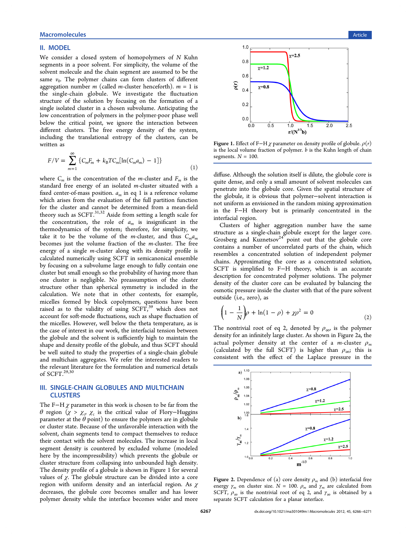### <span id="page-1-0"></span>II. MODEL

We consider a closed system of homopolymers of N Kuhn segments in a poor solvent. For simplicity, the volume of the solvent molecule and the chain segment are assumed to be the same  $v_0$ . The polymer chains can form clusters of different aggregation number m (called m-cluster henceforth).  $m = 1$  is the single-chain globule. We investigate the fluctuation structure of the solution by focusing on the formation of a single isolated cluster in a chosen subvolume. Anticipating the low concentration of polymers in the polymer-poor phase well below the critical point, we ignore the interaction between different clusters. The free energy density of the system, including the translational entropy of the clusters, can be written as

$$
F/V = \sum_{m=1}^{\infty} \left\{ C_m F_m + k_B T C_m [\ln(C_m a_m) - 1] \right\}
$$
 (1)

where  $C_m$  is the concentration of the *m*-cluster and  $F_m$  is the standard free energy of an isolated *m*-cluster situated with a fixed center-of-mass position.  $a_m$  in eq 1 is a reference volume which arises from the evaluation of the full partition function for the cluster and cannot be determined from a mean-field theory such as  $SCFT$ .<sup>31,32</sup> Aside from setting a length scale for the concentration, the role of  $a_m$  is insignificant in the thermodynamics of [the s](#page-5-0)ystem; therefore, for simplicity, we take it to be the volume of the *m*-cluster, and thus  $C_m a_m$ becomes just the volume fraction of the m-cluster. The free energy of a single *m*-cluster along with its density profile is calculated numerically using SCFT in semicanonical ensemble by focusing on a subvolume large enough to fully contain one cluster but small enough so the probability of having more than one cluster is negligible. No preassumption of the cluster structure other than spherical symmetry is included in the calculation. We note that in other contexts, for example, micelles formed by block copolymers, questions have been raised as to the validity of using  $SCFT$ ,<sup>39</sup> which does not account for soft-mode fluctuations, such as shape fluctuation of the micelles. However, well below the the[ta](#page-5-0) temperature, as is the case of interest in our work, the interfacial tension between the globule and the solvent is sufficiently high to maintain the shape and density profile of the globule, and thus SCFT should be well suited to study the properties of a single-chain globule and multichain aggregates. We refer the interested readers to the relevant literature for the formulation and numerical details of SCFT.29,30

#### III. SIN[GLE-](#page-5-0)CHAIN GLOBULES AND MULTICHAIN **CLUSTERS**

The F−H  $\chi$  parameter in this work is chosen to be far from the θ region ( $\chi > \chi_{\sigma}$ )  $\chi_{\rm c}$  is the critical value of Flory–Huggins parameter at the  $\theta$  point) to ensure the polymers are in globule or cluster state. Because of the unfavorable interaction with the solvent, chain segments tend to compact themselves to reduce their contact with the solvent molecules. The increase in local segment density is countered by excluded volume (modeled here by the incompressibility) which prevents the globule or cluster structure from collapsing into unbounded high density. The density profile of a globule is shown in Figure 1 for several values of  $\chi$ . The globule structure can be divided into a core region with uniform density and an interfacial region. As  $\chi$ decreases, the globule core becomes smaller and has lower polymer density while the interface becomes wider and more



Figure 1. Effect of F−H  $\chi$  parameter on density profile of globule.  $\rho(r)$ is the local volume fraction of polymer. b is the Kuhn length of chain segments.  $N = 100$ .

diffuse. Although the solution itself is dilute, the globule core is quite dense, and only a small amount of solvent molecules can penetrate into the globule core. Given the spatial structure of the globule, it is obvious that polymer−solvent interaction is not uniform as envisioned in the random mixing approximation in the F−H theory but is primarily concentrated in the interfacial region.

Clusters of higher aggregation number have the same structure as a single-chain globule except for the larger core. Grosberg and Kuznetsov<sup>24</sup> point out that the globule core contains a number of uncorrelated parts of the chain, which resembles a concentrate[d](#page-5-0) solution of independent polymer chains. Approximating the core as a concentrated solution, SCFT is simplified to F−H theory, which is an accurate description for concentrated polymer solutions. The polymer density of the cluster core can be evaluated by balancing the osmotic pressure inside the cluster with that of the pure solvent outside (i.e., zero), as

$$
\left(1 - \frac{1}{N}\right)\rho + \ln(1 - \rho) + \chi\rho^2 = 0
$$
\n(2)

The nontrivial root of eq 2, denoted by  $\rho_{\infty}$ , is the polymer density for an infinitely large cluster. As shown in Figure 2a, the actual polymer density at the center of a m-cluster  $\rho_m$ (calculated by the full SCFT) is higher than  $\rho_{\infty}$ ; this is consistent with the effect of the Laplace pressure in the



**Figure 2.** Dependence of (a) core density  $\rho_m$  and (b) interfacial free energy  $\gamma_m$  on cluster size.  $N = 100$ .  $\rho_m$  and  $\gamma_m$  are calculated from SCFT,  $\rho_{\infty}$  is the nontrivial root of eq 2, and  $\gamma_{\infty}$  is obtained by a separate SCFT calculation for a planar interface.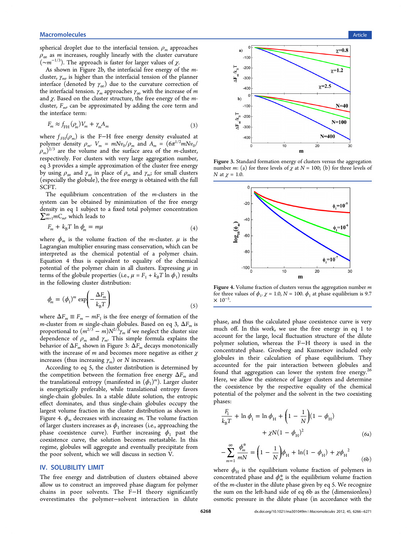<span id="page-2-0"></span>spherical droplet due to the interfacial tension.  $\rho_m$  approaches  $\rho_{\infty}$  as *m* increases, roughly linearly with the cluster curvature ( $~\sim m^{-1/3}$ ). The approach is faster for larger values of  $\chi$ .

As shown in Figure 2b, the interfacial free energy of the mcluster,  $\gamma_{m}$ , is higher than the interfacial tension of the planner interface (denoted by  $\gamma_{\infty}$ ) due to the curvature correction of the interfacial tension.  $\gamma_m$  approaches  $\gamma_\infty$  with the increase of m and  $\chi$ . Based on the cluster structure, the free energy of the *m*cluster,  $F_{m}$ , can be approximated by adding the core term and the interface term:

$$
F_m \approx f_{\rm FH}(\rho_m) V_m + \gamma_m A_m \tag{3}
$$

where  $f_{FH}(\rho_m)$  is the F−H free energy density evaluated at polymer density  $\rho_m$ .  $V_m = mNv_0/\rho_m$  and  $A_m = (6\pi^{1/2}mNv_0/\rho_m)$  $\rho_m$ )<sup>2/3</sup> are the volume and the surface area of the *m*-cluster, respectively. For clusters with very large aggregation number, eq 3 provides a simple approximation of the cluster free energy by using  $\rho_{\infty}$  and  $\gamma_{\infty}$  in place of  $\rho_m$  and  $\gamma_m$ ; for small clusters (especially the globule), the free energy is obtained with the full SCFT.

The equilibrium concentration of the m-clusters in the system can be obtained by minimization of the free energy density in eq 1 subject to a fixed total polymer concentration  $\sum_{m=1}^{\infty} m C_m$ , which leads to

$$
F_m + k_B T \ln \phi_m = m\mu \tag{4}
$$

where  $\phi_m$  is the volume fraction of the *m*-cluster.  $\mu$  is the Lagrangian multiplier ensuring mass conservation, which can be interpreted as the chemical potential of a polymer chain. Equation 4 thus is equivalent to equality of the chemical potential of the polymer chain in all clusters. Expressing  $\mu$  in terms of the globule properties (i.e.,  $\mu = F_1 + k_B T \ln \phi_1$ ) results in the following cluster distribution:

$$
\phi_m = (\phi_1)^m \exp\left(-\frac{\Delta F_m}{k_B T}\right) \tag{5}
$$

where  $\Delta F_m \equiv F_m - mF_1$  is the free energy of formation of the *m*-cluster from *m* single-chain globules. Based on eq 3,  $\Delta F_m$  is proportional to  $(m^{2/3} - m)N^{2/3}\gamma_m$  if we neglect the cluster size dependence of  $\rho_m$  and  $\gamma_m$ . This simple formula explains the behavior of  $\Delta F_m$  shown in Figure 3:  $\Delta F_m$  decays monotonically with the increase of m and becomes more negative as either  $\chi$ increases (thus increasing  $\gamma_m$ ) or N increases.

According to eq 5, the cluster distribution is determined by the competition between the formation free energy  $\Delta F_m$  and the translational entropy (manifested in  $(\phi_1)^m$ ). Larger cluster is energetically preferable, while translational entropy favors single-chain globules. In a stable dilute solution, the entropic effect dominates, and thus single-chain globules occupy the largest volume fraction in the cluster distribution as shown in Figure 4.  $\phi_m$  decreases with increasing *m*. The volume fraction of larger clusters increases as  $\phi_1$  increases (i.e., approaching the phase coexistence curve). Further increasing  $\phi_1$  past the coexistence curve, the solution becomes metastable. In this regime, globules will aggregate and eventually precipitate from the poor solvent, which we will discuss in section V.

#### IV. SOLUBILITY LIMIT

The free energy and distribution of clusters obt[ain](#page-3-0)ed above allow us to construct an improved phase diagram for polymer chains in poor solvents. The F−H theory significantly overestimates the polymer−solvent interaction in dilute



Figure 3. Standard formation energy of clusters versus the aggregation number m: (a) for three levels of  $\chi$  at  $N = 100$ ; (b) for three levels of N at  $\chi$  = 1.0.



Figure 4. Volume fraction of clusters versus the aggregation number  $m$ for three values of  $\phi_1$ .  $\chi$  = 1.0, N = 100.  $\phi_1$  at phase equilibrium is 9.7  $\times 10^{-5}$ . .

phase, and thus the calculated phase coexistence curve is very much off. In this work, we use the free energy in eq 1 to account for the large, local fluctuation structure of the dilute polymer solution, whereas the F−H theory is used i[n](#page-1-0) the concentrated phase. Grosberg and Kuznetsov included only globules in their calculation of phase equilibrium. They accounted for the pair interaction between globules and found that aggregation can lower the system free energy.<sup>2</sup> Here, we allow the existence of larger clusters and determine the coexistence by the respective equality of the chemi[cal](#page-5-0) potential of the polymer and the solvent in the two coexisting phases:

$$
\frac{F_1}{k_B T} + \ln \phi_1 = \ln \phi_H + \left(1 - \frac{1}{N}\right) (1 - \phi_H) + \chi N (1 - \phi_H)^2
$$
\n(6a)

$$
-\sum_{m=1}^{\infty} \frac{\phi_m^*}{mN} = \left(1 - \frac{1}{N}\right) \phi_H + \ln(1 - \phi_H) + \chi {\phi_H}^2 \tag{6b}
$$

where  $\phi_H$  is the equilibrium volume fraction of polymers in concentrated phase and  $\phi_m^*$  is the equilibrium volume fraction of the m-cluster in the dilute phase given by eq 5. We recognize the sum on the left-hand side of eq 6b as the (dimensionless) osmotic pressure in the dilute phase (in accordance with the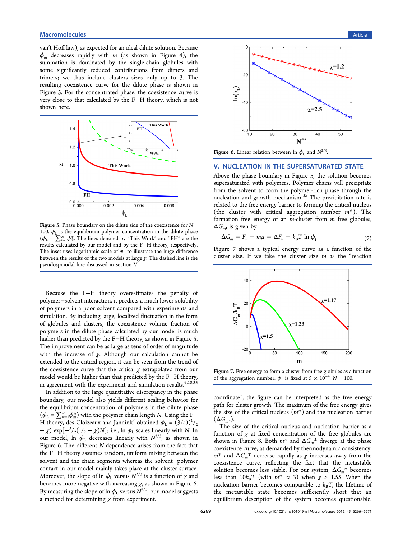<span id="page-3-0"></span>van't Hoff law), as expected for an ideal dilute solution. Because  $\phi_m$  decreases rapidly with m (as shown in Figure 4), the summation is dominated by the single-chain globules with some significantly reduced contributions from dim[ers](#page-2-0) and trimers; we thus include clusters sizes only up to 3. The resulting coexistence curve for the dilute phase is shown in Figure 5. For the concentrated phase, the coexistence curve is very close to that calculated by the F−H theory, which is not shown here.



Figure 5. Phase boundary on the dilute side of the coexistence for  $N =$ 100.  $\phi$ <sub>L</sub> is the equilibrium polymer concentration in the dilute phase  $(\phi_{L} = \sum_{m=1}^{\infty} \phi_{m}^{*}$ . The lines denoted by "This Work" and "FH" are the results calculated by our model and by the F−H theory, respectively. The inset uses logarithmic scale of  $\phi_L$  to illustrate the huge difference between the results of the two models at large  $\chi$ . The dashed line is the pseudospinodal line discussed in section V.

Because the F−H theory overestimates the penalty of polymer−solvent interaction, it predicts a much lower solubility of polymers in a poor solvent compared with experiments and simulation. By including large, localized fluctuation in the form of globules and clusters, the coexistence volume fraction of polymers in the dilute phase calculated by our model is much higher than predicted by the F−H theory, as shown in Figure 5. The improvement can be as large as tens of order of magnitude with the increase of  $\chi$ . Although our calculation cannot be extended to the critical region, it can be seen from the trend of the coexistence curve that the critical  $\chi$  extrapolated from our model would be higher than that predicted by the F−H theory, in agreement with the experiment and simulation results. $9,10,33$ 

In addition to the large quantitative discrepancy in the phase boundary, our model also yields different scaling behavi[or for](#page-5-0) the equilibrium concentration of polymers in the dilute phase  $(\phi_{L} = \sum_{m=1}^{\infty} \phi_{m}^{*})$  with the polymer chain length N. Using the F– H theory, des Cloizeaux and Jannink<sup>2</sup> obtained  $\phi_L = (3/e)(\frac{1}{2}$  $-\chi$ ) exp $\left[\frac{-3}{2}\left(\frac{1}{2} - \chi\right)N\right]$ ; i.e., ln  $\phi$ <sub>L</sub> scales linearly with N. In our model, ln  $\phi_L$  decreases linearl[y](#page-5-0) with  $N^{2/3}$ , as shown in Figure 6. The different N-dependence arises from the fact that the F−H theory assumes random, uniform mixing between the solvent and the chain segments whereas the solvent−polymer contact in our model mainly takes place at the cluster surface. Moreover, the slope of ln  $\phi_L$  versus  $N^{2/3}$  is a function of  $\chi$  and becomes more negative with increasing  $\chi$ , as shown in Figure 6. By measuring the slope of  $\ln \phi_L$  versus  $N^{2/3}$ , our model suggests a method for determining  $\chi$  from experiment.



Figure 6. Linear relation between  $\ln \phi_L$  and  $N^{2/3}$ .

#### V. NUCLEATION IN THE SUPERSATURATED STATE

Above the phase boundary in Figure 5, the solution becomes supersaturated with polymers. Polymer chains will precipitate from the solvent to form the polymer-rich phase through the nucleation and growth mechanism.<sup>35</sup> The precipitation rate is related to the free energy barrier to forming the critical nucleus (the cluster with critical aggre[gat](#page-5-0)ion number  $m^*$ ). The formation free energy of an m-cluster from m free globules,  $\Delta G_{\text{mv}}$  is given by

$$
\Delta G_m = F_m - m\mu = \Delta F_m - k_B T \ln \phi_1 \tag{7}
$$

Figure 7 shows a typical energy curve as a function of the cluster size. If we take the cluster size  $m$  as the "reaction



Figure 7. Free energy to form a cluster from free globules as a function of the aggregation number.  $\phi_1$  is fixed at 5 × 10<sup>-4</sup>. N = 100.

coordinate", the figure can be interpreted as the free energy path for cluster growth. The maximum of the free energy gives the size of the critical nucleus  $(m^*)$  and the nucleation barrier  $(\Delta G_{m*}).$ 

The size of the critical nucleus and nucleation barrier as a function of  $\chi$  at fixed concentration of the free globules are shown in Figure 8. Both  $m^*$  and  $\Delta G_m^*$  diverge at the phase coexistence curve, as demanded by thermodynamic consistency.  $m^*$  and  $\Delta G_m^*$  d[ec](#page-4-0)rease rapidly as  $\chi$  increases away from the coexistence curve, reflecting the fact that the metastable solution becomes less stable. For our system,  $\Delta G_m{}^*$  becomes less than  $10k_BT$  (with  $m^* \approx 3$ ) when  $\chi > 1.55$ . When the nucleation barrier becomes comparable to  $k_BT$ , the lifetime of the metastable state becomes sufficiently short that an equilibrium description of the system becomes questionable.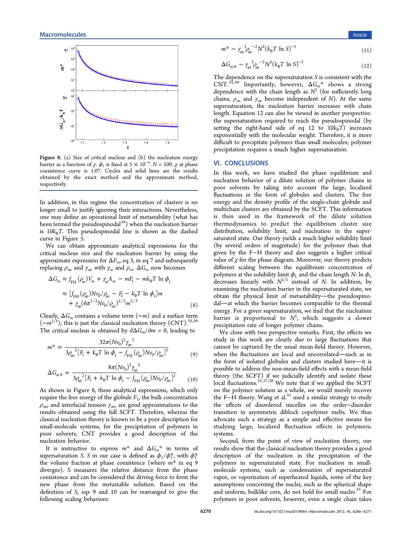<span id="page-4-0"></span>

Figure 8. (a) Size of critical nucleus and (b) the nucleation energy barrier as a function of  $\chi$ .  $\phi_1$  is fixed at 5 × 10<sup>-4</sup>. N = 100.  $\chi$  at phase coexistence curve is 1.07. Circles and solid lines are the results obtained by the exact method and the approximate method, respectively.

In addition, in this regime the concentration of clusters is no longer small to justify ignoring their interactions. Nevertheless, one may define an operational limit of metastability (what has been termed the pseudospinodal $34$ ) when the nucleation barrier is  $10k_BT$ . This pseudospinodal line is shown as the dashed curve in Figure 5.

We can obtain approximate analytical expressions for the critical nucleus [si](#page-3-0)ze and the nucleation barrier by using the approximate expression for  $\Delta F_m$ , eq 3, in eq 7 and subsequently replacing  $ρ_{\infty}$  and  $γ_{\infty}$  with  $γ_m$  and  $ρ_m$ .  $ΔG_m$  now becomes

$$
\Delta G_m \approx f_{\text{FH}}(\rho_m) V_m + \gamma_m A_m - mF_1 - m k_B T \ln \phi_1
$$
  

$$
\approx [f_{\text{FH}}(\rho_\infty) N v_0 / \rho_\infty - F_1 - k_B T \ln \phi_1] m
$$
  

$$
+ \gamma_\infty (6\pi^{1/2} N v_0 / \rho_\infty)^{2/3} m^{2/3}
$$
 (8)

Clearly,  $\Delta G_m$  contains a volume term  $(\sim m)$  and a surface term  $(\sim m^{2/3})$ ; this is just the classical nucleation theory (CNT).<sup>35,36</sup> The critical nucleus is obtained by  $\partial \Delta G_m / \partial m = 0$ , leading to

$$
m^* = \frac{32\pi (Nv_0)^2 \gamma_\infty^3}{3\rho_\infty^2 [F_1 + k_\text{B}T \ln \phi_1 - f_{\text{FH}}(\rho_\infty) N v_0 / \rho_\infty]^3}
$$
(9)

$$
\Delta G_{m*} = \frac{8\pi (Nv_0)^2 \gamma_\infty^3}{3\rho_\infty^2 [F_1 + k_\text{B}T \ln \phi_1 - f_{\text{FH}}(\rho_\infty) N v_0 / \rho_\infty]^2}
$$
(10)

As shown in Figure 8, these analytical expressions, which only require the free energy of the globule  $F_1$ , the bulk concentration  $ρ<sub>∞</sub>$ , and interfacial tension  $γ<sub>∞</sub>$ , are good approximations to the results obtained using the full SCFT. Therefore, whereas the classical nucleation theory is known to be a poor description for small-molecule systems, for the precipitation of polymers in poor solvents, CNT provides a good description of the nucleation behavior.

It is instructive to express  $m^*$  and  $\Delta G_m^*$  in terms of supersaturation S. S in our case is defined as  $\phi_1/\phi_1^*$ , with  $\phi_1^*$ the volume fraction at phase coexistence (where  $m^*$  in eq 9 diverges). S measures the relative distance from the phase coexistence and can be considered the driving force to form the new phase from the metastable solution. Based on the definition of S, eqs 9 and 10 can be rearranged to give the following scaling behaviors:

$$
m^* \sim \gamma_\infty^3 \rho_\infty^{-2} N^2 (k_B T \ln S)^{-3} \tag{11}
$$

$$
\Delta G_{m*} \sim \gamma_{\infty}^3 \rho_{\infty}^{-2} N^2 (k_B T \ln S)^{-2}
$$
 (12)

The dependence on the supersaturation  $S$  is consistent with the CNT.<sup>35,36</sup> Importantly, however,  $\Delta G_m^*$  shows a strong dependence with the chain length as  $N^2$  (for sufficiently long chain[s,](#page-5-0)  $\rho_{\infty}$  and  $\gamma_{\infty}$  become independent of N). At the same supersaturation, the nucleation barrier increases with chain length. Equation 12 can also be viewed in another perspective: the supersaturation required to reach the pseudospinodal (by setting the right-hand side of eq 12 to  $10k_BT$ ) increases exponentially with the molecular weight. Therefore, it is more difficult to precipitate polymers than small molecules; polymer precipitation requires a much higher supersaturation.

#### VI. CONCLUSIONS

In this work, we have studied the phase equilibrium and nucleation behavior of a dilute solution of polymer chains in poor solvents by taking into account the large, localized fluctuations in the form of globules and clusters. The free energy and the density profile of the single-chain globule and multichain clusters are obtained by the SCFT. This information is then used in the framework of the dilute solution thermodynamics to predict the equilibrium cluster size distribution, solubility limit, and nucleation in the supersaturated state. Our theory yields a much higher solubility limit (by several orders of magnitude) for the polymer than that given by the F−H theory and also suggests a higher critical value of  $\chi$  for the phase diagram. Moreover, our theory predicts different scaling between the equilibrium concentration of polymers at the solubility limit  $\phi_L$  and the chain length N: ln  $\phi_L$ decreases linearly with  $N^{2/3}$  instead of N. In addition, by examining the nucleation barrier in the supersaturated state, we obtain the physical limit of metastability-the pseudospinodal—at which the barrier becomes comparable to the thermal energy. For a given supersaturation, we find that the nucleation barrier is proportional to  $N^2$ , which suggests a slower precipitation rate of longer polymer chains.

We close with two perspective remarks. First, the effects we study in this work are clearly due to large fluctuations that cannot be captured by the usual mean-field theory. However, when the fluctuations are local and uncorrelated-such as in the form of isolated globules and clusters studied here-it is possible to address the non-mean-field effects with a mean-field theory (the SCFT) if we judicially identify and isolate these local fluctuations.<sup>31,37,38</sup> We note that if we applied the SCFT on the polymer solution as a whole, we would merely recover the F-H theory. [Wang](#page-5-0) et al.<sup>31</sup> used a similar strategy to study the effects of disordered micelles on the order−disorder transition in asymmetric di[blo](#page-5-0)ck copolymer melts. We thus advocate such a strategy as a simple and effective means for studying large, localized fluctuation effects in polymeric systems.

Second, from the point of view of nucleation theory, our results show that the classical nucleation theory provides a good description of the nucleation in the precipitation of the polymers in supersaturated state. For nucleation in smallmolecule systems, such as condensation of supersaturated vapor, or vaporization of superheated liquids, some of the key assumptions concerning the nuclei, such as the spherical shape and uniform, bulklike core, do not hold for small nuclei.<sup>35</sup> For polymers in poor solvents, however, even a single chain takes